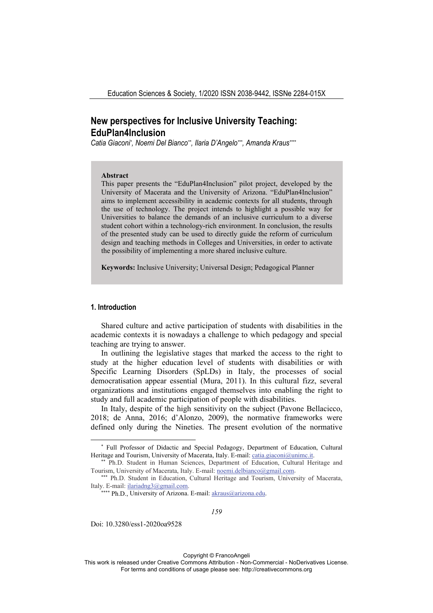# **New perspectives for Inclusive University Teaching: EduPlan4Inclusion**

Catia Giaconi\*, Noemi Del Bianco\*\*, Ilaria D'Angelo\*\*\*, Amanda Kraus\*\*\*\*

#### **Abstract**

This paper presents the "EduPlan4Inclusion" pilot project, developed by the University of Macerata and the University of Arizona. "EduPlan4Inclusion" aims to implement accessibility in academic contexts for all students, through the use of technology. The project intends to highlight a possible way for Universities to balance the demands of an inclusive curriculum to a diverse student cohort within a technology-rich environment. In conclusion, the results of the presented study can be used to directly guide the reform of curriculum design and teaching methods in Colleges and Universities, in order to activate the possibility of implementing a more shared inclusive culture.

**Keywords:** Inclusive University; Universal Design; Pedagogical Planner

## **1. Introduction**

Shared culture and active participation of students with disabilities in the academic contexts it is nowadays a challenge to which pedagogy and special teaching are trying to answer.

In outlining the legislative stages that marked the access to the right to study at the higher education level of students with disabilities or with Specific Learning Disorders (SpLDs) in Italy, the processes of social democratisation appear essential (Mura, 2011). In this cultural fizz, several organizations and institutions engaged themselves into enabling the right to study and full academic participation of people with disabilities.

In Italy, despite of the high sensitivity on the subject (Pavone Bellacicco, 2018; de Anna, 2016; d'Alonzo, 2009), the normative frameworks were defined only during the Nineties. The present evolution of the normative

Doi: 10.3280/ess1-2020oa9528

Copyright © FrancoAngeli

<sup>\*</sup> Full Professor of Didactic and Special Pedagogy, Department of Education, Cultural Heritage and Tourism, University of Macerata, Italy. E-mail: catia.giaconi@unimc.it.<br>\*\* Ph.D. Student in Human Sciences, Department of Education, Cultural Heritage and

Tourism, University of Macerata, Italy. E-mail: noemi.delbianco@gmail.com.<br>\*\*\* Ph.D. Student in Education, Cultural Heritage and Tourism, University of Macerata,

Italy. E-mail: ilariadng3@gmail.com.

<sup>\*\*\*\*</sup> Ph.D., University of Arizona. E-mail: akraus@arizona.edu.

This work is released under Creative Commons Attribution - Non-Commercial - NoDerivatives License. For terms and conditions of usage please see: http://creativecommons.org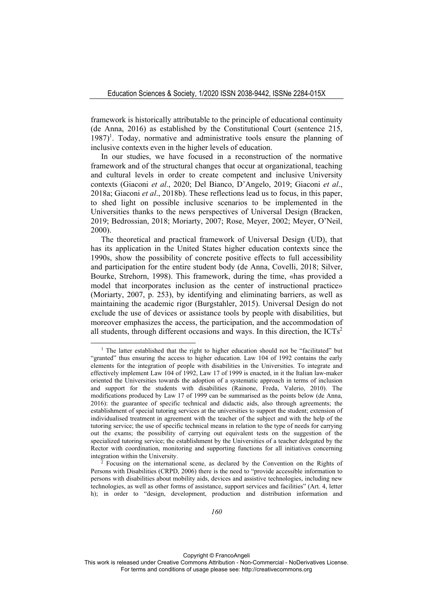framework is historically attributable to the principle of educational continuity (de Anna, 2016) as established by the Constitutional Court (sentence 215, 1987)<sup>1</sup>. Today, normative and administrative tools ensure the planning of inclusive contexts even in the higher levels of education.

In our studies, we have focused in a reconstruction of the normative framework and of the structural changes that occur at organizational, teaching and cultural levels in order to create competent and inclusive University contexts (Giaconi *et al*., 2020; Del Bianco, D'Angelo, 2019; Giaconi *et al*., 2018a; Giaconi *et al*., 2018b). These reflections lead us to focus, in this paper, to shed light on possible inclusive scenarios to be implemented in the Universities thanks to the news perspectives of Universal Design (Bracken, 2019; Bedrossian, 2018; Moriarty, 2007; Rose, Meyer, 2002; Meyer, O'Neil, 2000).

The theoretical and practical framework of Universal Design (UD), that has its application in the United States higher education contexts since the 1990s, show the possibility of concrete positive effects to full accessibility and participation for the entire student body (de Anna, Covelli, 2018; Silver, Bourke, Strehorn, 1998). This framework, during the time, «has provided a model that incorporates inclusion as the center of instructional practice» (Moriarty, 2007, p. 253), by identifying and eliminating barriers, as well as maintaining the academic rigor (Burgstahler, 2015). Universal Design do not exclude the use of devices or assistance tools by people with disabilities, but moreover emphasizes the access, the participation, and the accommodation of all students, through different occasions and ways. In this direction, the  $ICTs<sup>2</sup>$ 

Copyright © FrancoAngeli

This work is released under Creative Commons Attribution - Non-Commercial - NoDerivatives License. For terms and conditions of usage please see: http://creativecommons.org

<sup>&</sup>lt;sup>1</sup> The latter established that the right to higher education should not be "facilitated" but "granted" thus ensuring the access to higher education. Law 104 of 1992 contains the early elements for the integration of people with disabilities in the Universities. To integrate and effectively implement Law 104 of 1992, Law 17 of 1999 is enacted, in it the Italian law-maker oriented the Universities towards the adoption of a systematic approach in terms of inclusion and support for the students with disabilities (Rainone, Freda, Valerio, 2010). The modifications produced by Law 17 of 1999 can be summarised as the points below (de Anna, 2016): the guarantee of specific technical and didactic aids, also through agreements; the establishment of special tutoring services at the universities to support the student; extension of individualised treatment in agreement with the teacher of the subject and with the help of the tutoring service; the use of specific technical means in relation to the type of needs for carrying out the exams; the possibility of carrying out equivalent tests on the suggestion of the specialized tutoring service; the establishment by the Universities of a teacher delegated by the Rector with coordination, monitoring and supporting functions for all initiatives concerning integration within the University.<br><sup>2</sup> Focusing on the international scene, as declared by the Convention on the Rights of

Persons with Disabilities (CRPD, 2006) there is the need to "provide accessible information to persons with disabilities about mobility aids, devices and assistive technologies, including new technologies, as well as other forms of assistance, support services and facilities" (Art. 4, letter h); in order to "design, development, production and distribution information and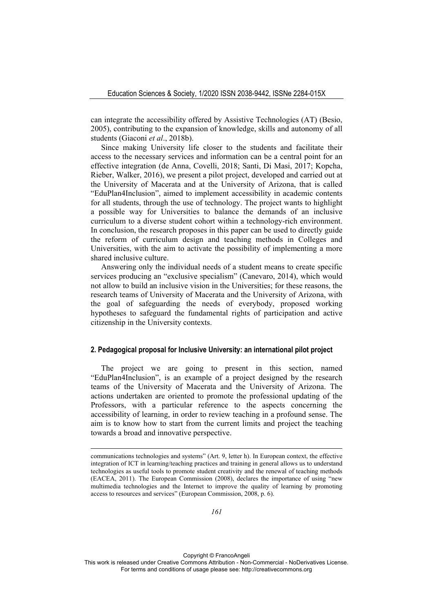can integrate the accessibility offered by Assistive Technologies (AT) (Besio, 2005), contributing to the expansion of knowledge, skills and autonomy of all students (Giaconi *et al*., 2018b).

Since making University life closer to the students and facilitate their access to the necessary services and information can be a central point for an effective integration (de Anna, Covelli, 2018; Santi, Di Masi, 2017; Kopcha, Rieber, Walker, 2016), we present a pilot project, developed and carried out at the University of Macerata and at the University of Arizona, that is called "EduPlan4Inclusion", aimed to implement accessibility in academic contents for all students, through the use of technology. The project wants to highlight a possible way for Universities to balance the demands of an inclusive curriculum to a diverse student cohort within a technology-rich environment. In conclusion, the research proposes in this paper can be used to directly guide the reform of curriculum design and teaching methods in Colleges and Universities, with the aim to activate the possibility of implementing a more shared inclusive culture.

Answering only the individual needs of a student means to create specific services producing an "exclusive specialism" (Canevaro, 2014), which would not allow to build an inclusive vision in the Universities; for these reasons, the research teams of University of Macerata and the University of Arizona, with the goal of safeguarding the needs of everybody, proposed working hypotheses to safeguard the fundamental rights of participation and active citizenship in the University contexts.

### **2. Pedagogical proposal for Inclusive University: an international pilot project**

The project we are going to present in this section, named "EduPlan4Inclusion", is an example of a project designed by the research teams of the University of Macerata and the University of Arizona. The actions undertaken are oriented to promote the professional updating of the Professors, with a particular reference to the aspects concerning the accessibility of learning, in order to review teaching in a profound sense. The aim is to know how to start from the current limits and project the teaching towards a broad and innovative perspective.

Copyright © FrancoAngeli

communications technologies and systems" (Art. 9, letter h). In European context, the effective integration of ICT in learning/teaching practices and training in general allows us to understand technologies as useful tools to promote student creativity and the renewal of teaching methods (EACEA, 2011). The European Commission (2008), declares the importance of using "new multimedia technologies and the Internet to improve the quality of learning by promoting access to resources and services" (European Commission, 2008, p. 6).

This work is released under Creative Commons Attribution - Non-Commercial - NoDerivatives License. For terms and conditions of usage please see: http://creativecommons.org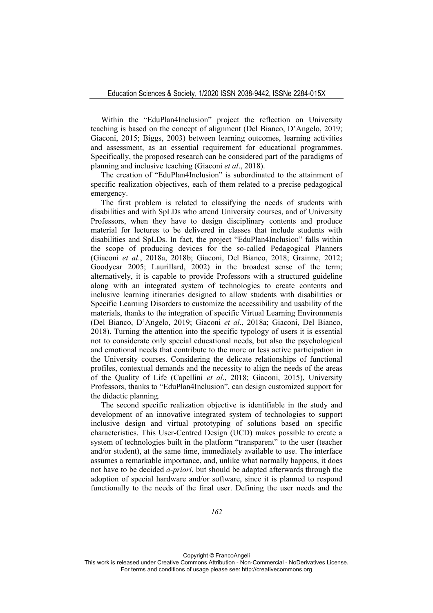Within the "EduPlan4Inclusion" project the reflection on University teaching is based on the concept of alignment (Del Bianco, D'Angelo, 2019; Giaconi, 2015; Biggs, 2003) between learning outcomes, learning activities and assessment, as an essential requirement for educational programmes. Specifically, the proposed research can be considered part of the paradigms of planning and inclusive teaching (Giaconi *et al*., 2018).

The creation of "EduPlan4Inclusion" is subordinated to the attainment of specific realization objectives, each of them related to a precise pedagogical emergency.

The first problem is related to classifying the needs of students with disabilities and with SpLDs who attend University courses, and of University Professors, when they have to design disciplinary contents and produce material for lectures to be delivered in classes that include students with disabilities and SpLDs. In fact, the project "EduPlan4Inclusion" falls within the scope of producing devices for the so-called Pedagogical Planners (Giaconi *et al*., 2018a, 2018b; Giaconi, Del Bianco, 2018; Grainne, 2012; Goodyear 2005; Laurillard, 2002) in the broadest sense of the term; alternatively, it is capable to provide Professors with a structured guideline along with an integrated system of technologies to create contents and inclusive learning itineraries designed to allow students with disabilities or Specific Learning Disorders to customize the accessibility and usability of the materials, thanks to the integration of specific Virtual Learning Environments (Del Bianco, D'Angelo, 2019; Giaconi *et al*., 2018a; Giaconi, Del Bianco, 2018). Turning the attention into the specific typology of users it is essential not to considerate only special educational needs, but also the psychological and emotional needs that contribute to the more or less active participation in the University courses. Considering the delicate relationships of functional profiles, contextual demands and the necessity to align the needs of the areas of the Quality of Life (Capellini *et al*., 2018; Giaconi, 2015), University Professors, thanks to "EduPlan4Inclusion", can design customized support for the didactic planning.

The second specific realization objective is identifiable in the study and development of an innovative integrated system of technologies to support inclusive design and virtual prototyping of solutions based on specific characteristics. This User-Centred Design (UCD) makes possible to create a system of technologies built in the platform "transparent" to the user (teacher and/or student), at the same time, immediately available to use. The interface assumes a remarkable importance, and, unlike what normally happens, it does not have to be decided *a-priori*, but should be adapted afterwards through the adoption of special hardware and/or software, since it is planned to respond functionally to the needs of the final user. Defining the user needs and the

Copyright © FrancoAngeli This work is released under Creative Commons Attribution - Non-Commercial - NoDerivatives License. For terms and conditions of usage please see: http://creativecommons.org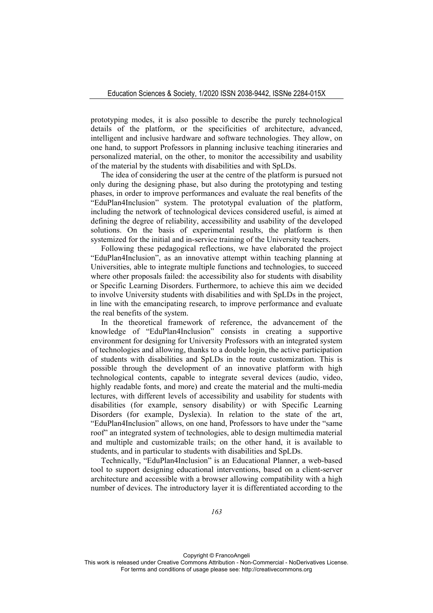prototyping modes, it is also possible to describe the purely technological details of the platform, or the specificities of architecture, advanced, intelligent and inclusive hardware and software technologies. They allow, on one hand, to support Professors in planning inclusive teaching itineraries and personalized material, on the other, to monitor the accessibility and usability of the material by the students with disabilities and with SpLDs.

The idea of considering the user at the centre of the platform is pursued not only during the designing phase, but also during the prototyping and testing phases, in order to improve performances and evaluate the real benefits of the "EduPlan4Inclusion" system. The prototypal evaluation of the platform, including the network of technological devices considered useful, is aimed at defining the degree of reliability, accessibility and usability of the developed solutions. On the basis of experimental results, the platform is then systemized for the initial and in-service training of the University teachers.

Following these pedagogical reflections, we have elaborated the project "EduPlan4Inclusion", as an innovative attempt within teaching planning at Universities, able to integrate multiple functions and technologies, to succeed where other proposals failed: the accessibility also for students with disability or Specific Learning Disorders. Furthermore, to achieve this aim we decided to involve University students with disabilities and with SpLDs in the project, in line with the emancipating research, to improve performance and evaluate the real benefits of the system.

In the theoretical framework of reference, the advancement of the knowledge of "EduPlan4Inclusion" consists in creating a supportive environment for designing for University Professors with an integrated system of technologies and allowing, thanks to a double login, the active participation of students with disabilities and SpLDs in the route customization. This is possible through the development of an innovative platform with high technological contents, capable to integrate several devices (audio, video, highly readable fonts, and more) and create the material and the multi-media lectures, with different levels of accessibility and usability for students with disabilities (for example, sensory disability) or with Specific Learning Disorders (for example, Dyslexia). In relation to the state of the art, "EduPlan4Inclusion" allows, on one hand, Professors to have under the "same roof" an integrated system of technologies, able to design multimedia material and multiple and customizable trails; on the other hand, it is available to students, and in particular to students with disabilities and SpLDs.

Technically, "EduPlan4Inclusion" is an Educational Planner, a web-based tool to support designing educational interventions, based on a client-server architecture and accessible with a browser allowing compatibility with a high number of devices. The introductory layer it is differentiated according to the

Copyright © FrancoAngeli This work is released under Creative Commons Attribution - Non-Commercial - NoDerivatives License. For terms and conditions of usage please see: http://creativecommons.org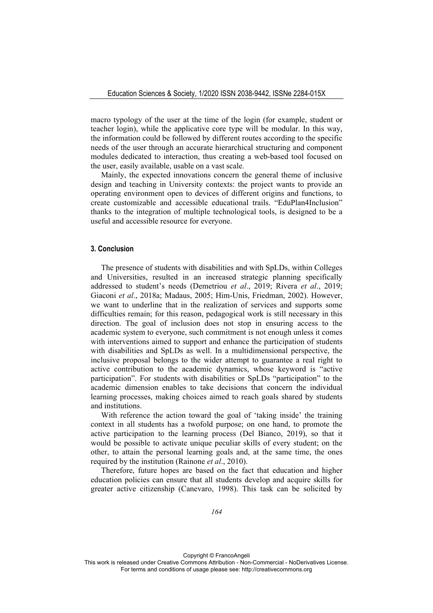macro typology of the user at the time of the login (for example, student or teacher login), while the applicative core type will be modular. In this way, the information could be followed by different routes according to the specific needs of the user through an accurate hierarchical structuring and component modules dedicated to interaction, thus creating a web-based tool focused on the user, easily available, usable on a vast scale.

Mainly, the expected innovations concern the general theme of inclusive design and teaching in University contexts: the project wants to provide an operating environment open to devices of different origins and functions, to create customizable and accessible educational trails. "EduPlan4Inclusion" thanks to the integration of multiple technological tools, is designed to be a useful and accessible resource for everyone.

#### **3. Conclusion**

The presence of students with disabilities and with SpLDs, within Colleges and Universities, resulted in an increased strategic planning specifically addressed to student's needs (Demetriou *et al*., 2019; Rivera *et al*., 2019; Giaconi *et al*., 2018a; Madaus, 2005; Him-Unis, Friedman, 2002). However, we want to underline that in the realization of services and supports some difficulties remain; for this reason, pedagogical work is still necessary in this direction. The goal of inclusion does not stop in ensuring access to the academic system to everyone, such commitment is not enough unless it comes with interventions aimed to support and enhance the participation of students with disabilities and SpLDs as well. In a multidimensional perspective, the inclusive proposal belongs to the wider attempt to guarantee a real right to active contribution to the academic dynamics, whose keyword is "active participation". For students with disabilities or SpLDs "participation" to the academic dimension enables to take decisions that concern the individual learning processes, making choices aimed to reach goals shared by students and institutions.

With reference the action toward the goal of 'taking inside' the training context in all students has a twofold purpose; on one hand, to promote the active participation to the learning process (Del Bianco, 2019), so that it would be possible to activate unique peculiar skills of every student; on the other, to attain the personal learning goals and, at the same time, the ones required by the institution (Rainone *et al*., 2010).

Therefore, future hopes are based on the fact that education and higher education policies can ensure that all students develop and acquire skills for greater active citizenship (Canevaro, 1998). This task can be solicited by

Copyright © FrancoAngeli This work is released under Creative Commons Attribution - Non-Commercial - NoDerivatives License. For terms and conditions of usage please see: http://creativecommons.org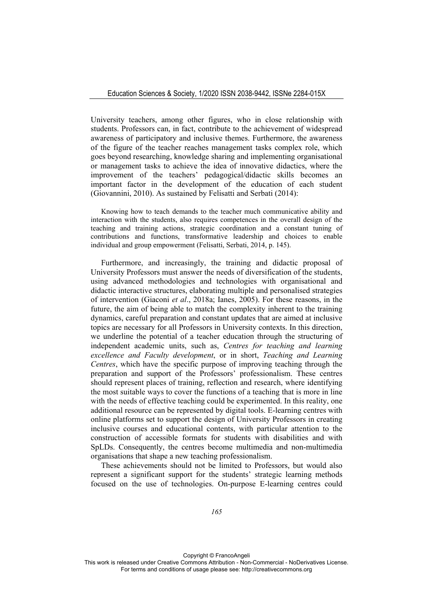University teachers, among other figures, who in close relationship with students. Professors can, in fact, contribute to the achievement of widespread awareness of participatory and inclusive themes. Furthermore, the awareness of the figure of the teacher reaches management tasks complex role, which goes beyond researching, knowledge sharing and implementing organisational or management tasks to achieve the idea of innovative didactics, where the improvement of the teachers' pedagogical/didactic skills becomes an important factor in the development of the education of each student (Giovannini, 2010). As sustained by Felisatti and Serbati (2014):

Knowing how to teach demands to the teacher much communicative ability and interaction with the students, also requires competences in the overall design of the teaching and training actions, strategic coordination and a constant tuning of contributions and functions, transformative leadership and choices to enable individual and group empowerment (Felisatti, Serbati, 2014, p. 145).

Furthermore, and increasingly, the training and didactic proposal of University Professors must answer the needs of diversification of the students, using advanced methodologies and technologies with organisational and didactic interactive structures, elaborating multiple and personalised strategies of intervention (Giaconi *et al*., 2018a; Ianes, 2005). For these reasons, in the future, the aim of being able to match the complexity inherent to the training dynamics, careful preparation and constant updates that are aimed at inclusive topics are necessary for all Professors in University contexts. In this direction, we underline the potential of a teacher education through the structuring of independent academic units, such as, *Centres for teaching and learning excellence and Faculty development*, or in short, *Teaching and Learning Centres*, which have the specific purpose of improving teaching through the preparation and support of the Professors' professionalism. These centres should represent places of training, reflection and research, where identifying the most suitable ways to cover the functions of a teaching that is more in line with the needs of effective teaching could be experimented. In this reality, one additional resource can be represented by digital tools. E-learning centres with online platforms set to support the design of University Professors in creating inclusive courses and educational contents, with particular attention to the construction of accessible formats for students with disabilities and with SpLDs. Consequently, the centres become multimedia and non-multimedia organisations that shape a new teaching professionalism.

These achievements should not be limited to Professors, but would also represent a significant support for the students' strategic learning methods focused on the use of technologies. On-purpose E-learning centres could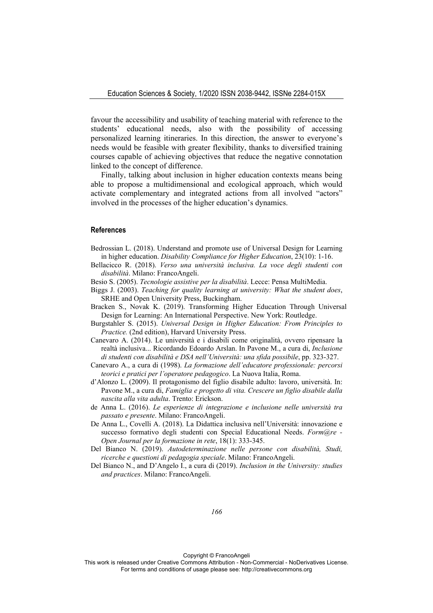favour the accessibility and usability of teaching material with reference to the students' educational needs, also with the possibility of accessing personalized learning itineraries. In this direction, the answer to everyone's needs would be feasible with greater flexibility, thanks to diversified training courses capable of achieving objectives that reduce the negative connotation linked to the concept of difference.

Finally, talking about inclusion in higher education contexts means being able to propose a multidimensional and ecological approach, which would activate complementary and integrated actions from all involved "actors" involved in the processes of the higher education's dynamics.

#### **References**

- Bedrossian L. (2018). Understand and promote use of Universal Design for Learning in higher education. *Disability Compliance for Higher Education*, 23(10): 1-16.
- Bellacicco R. (2018). *Verso una università inclusiva. La voce degli studenti con disabilità*. Milano: FrancoAngeli.
- Besio S. (2005). *Tecnologie assistive per la disabilità*. Lecce: Pensa MultiMedia.
- Biggs J. (2003). *Teaching for quality learning at university: What the student does*, SRHE and Open University Press, Buckingham.
- Bracken S., Novak K. (2019). Transforming Higher Education Through Universal Design for Learning: An International Perspective. New York: Routledge.
- Burgstahler S. (2015). *Universal Design in Higher Education: From Principles to Practice.* (2nd edition), Harvard University Press.
- Canevaro A. (2014). Le università e i disabili come originalità, ovvero ripensare la realtà inclusiva... Ricordando Edoardo Arslan. In Pavone M., a cura di, *Inclusione di studenti con disabilità e DSA nell'Università: una sfida possibile*, pp. 323-327.
- Canevaro A., a cura di (1998). *La formazione dell'educatore professionale: percorsi teorici e pratici per l'operatore pedagogico*. La Nuova Italia, Roma.
- d'Alonzo L. (2009). Il protagonismo del figlio disabile adulto: lavoro, università. In: Pavone M., a cura di, *Famiglia e progetto di vita. Crescere un figlio disabile dalla nascita alla vita adulta*. Trento: Erickson.
- de Anna L. (2016). *Le esperienze di integrazione e inclusione nelle università tra passato e presente*. Milano: FrancoAngeli.
- De Anna L., Covelli A. (2018). La Didattica inclusiva nell'Università: innovazione e successo formativo degli studenti con Special Educational Needs. *Form@re - Open Journal per la formazione in rete*, 18(1): 333-345.
- Del Bianco N. (2019). *Autodeterminazione nelle persone con disabilità, Studi, ricerche e questioni di pedagogia speciale*. Milano: FrancoAngeli.
- Del Bianco N., and D'Angelo I., a cura di (2019). *Inclusion in the University: studies and practices*. Milano: FrancoAngeli.

Copyright © FrancoAngeli

This work is released under Creative Commons Attribution - Non-Commercial - NoDerivatives License. For terms and conditions of usage please see: http://creativecommons.org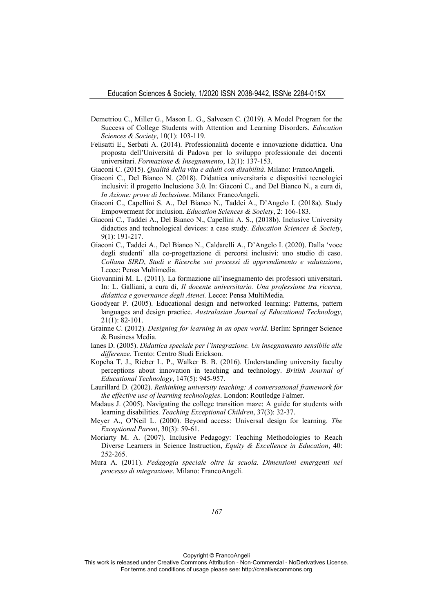- Demetriou C., Miller G., Mason L. G., Salvesen C. (2019). A Model Program for the Success of College Students with Attention and Learning Disorders. *Education Sciences & Society*, 10(1): 103-119.
- Felisatti E., Serbati A. (2014). Professionalità docente e innovazione didattica. Una proposta dell'Università di Padova per lo sviluppo professionale dei docenti universitari. *Formazione & Insegnamento*, 12(1): 137-153.
- Giaconi C. (2015). *Qualità della vita e adulti con disabilità*. Milano: FrancoAngeli.
- Giaconi C., Del Bianco N. (2018). Didattica universitaria e dispositivi tecnologici inclusivi: il progetto Inclusione 3.0. In: Giaconi C., and Del Bianco N., a cura di, *In Azione: prove di Inclusione*. Milano: FrancoAngeli.
- Giaconi C., Capellini S. A., Del Bianco N., Taddei A., D'Angelo I. (2018a). Study Empowerment for inclusion. *Education Sciences & Society*, 2: 166-183.
- Giaconi C., Taddei A., Del Bianco N., Capellini A. S., (2018b). Inclusive University didactics and technological devices: a case study. *Education Sciences & Society*, 9(1): 191-217.
- Giaconi C., Taddei A., Del Bianco N., Caldarelli A., D'Angelo I. (2020). Dalla 'voce degli studenti' alla co-progettazione di percorsi inclusivi: uno studio di caso. *Collana SIRD*, *Studi e Ricerche sui processi di apprendimento e valutazione*, Lecce: Pensa Multimedia.
- Giovannini M. L. (2011). La formazione all'insegnamento dei professori universitari. In: L. Galliani, a cura di, *Il docente universitario. Una professione tra ricerca, didattica e governance degli Atenei.* Lecce: Pensa MultiMedia.
- Goodyear P. (2005). Educational design and networked learning: Patterns, pattern languages and design practice. *Australasian Journal of Educational Technology*, 21(1): 82-101.
- Grainne C. (2012). *Designing for learning in an open world*. Berlin: Springer Science & Business Media.
- Ianes D. (2005). *Didattica speciale per l'integrazione. Un insegnamento sensibile alle differenze*. Trento: Centro Studi Erickson.
- Kopcha T. J., Rieber L. P., Walker B. B. (2016). Understanding university faculty perceptions about innovation in teaching and technology. *British Journal of Educational Technology*, 147(5): 945-957.
- Laurillard D. (2002). *Rethinking university teaching: A conversational framework for the effective use of learning technologies*. London: Routledge Falmer.
- Madaus J. (2005). Navigating the college transition maze: A guide for students with learning disabilities. *Teaching Exceptional Children*, 37(3): 32-37.
- Meyer A., O'Neil L. (2000). Beyond access: Universal design for learning. *The Exceptional Parent*, 30(3): 59-61.
- Moriarty M. A. (2007). Inclusive Pedagogy: Teaching Methodologies to Reach Diverse Learners in Science Instruction, *Equity & Excellence in Education*, 40: 252-265.
- Mura A. (2011). *Pedagogia speciale oltre la scuola. Dimensioni emergenti nel processo di integrazione*. Milano: FrancoAngeli.

Copyright © FrancoAngeli

This work is released under Creative Commons Attribution - Non-Commercial - NoDerivatives License. For terms and conditions of usage please see: http://creativecommons.org